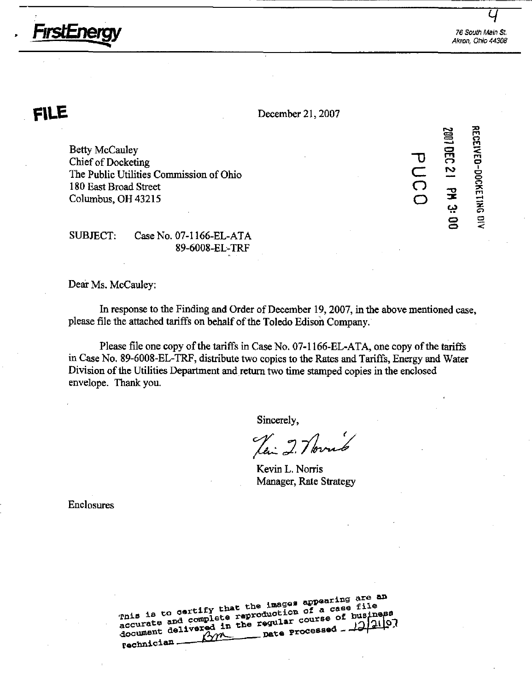

FirstEnergy

 $FILE$  December 21, 2007

Betty McCauley Chief of Docketing The Public Utilities Commission of Ohio 180 East Broad Street Columbus, OH 43215

⊇ TJ CZ  $\bigcap$  $\subset$  $\Xi^-$ ال<br>21<br>ك  $\mathbf{\overline{v}}$ =c • • o  $\frac{5}{2}$  $\Xi$ ቜ ckeri C) o

o

 $\prec$ 

SUBJECT: Case No. 07-1166-EL-ATA 89-6008-EL-TRF

Dear Ms. McCauley:

In response to the Finding and Order of December 19,2007, in the above mentioned case, please file the attached tariffs on behalf of the Toledo Edisoh Company.

Please file one copy of the tariffs in Case No. 07-1166-EL-ATA, one copy of the tariffs in Case No. 89-6008-EL-TRF, distribute two copies to the Rates and Tariffs, Energy and Water Division of the Utilities Department and return two time stamped copies in the enclosed envelope. Thank you.

Sincerely,

Kevin L. Norris Manager, Rate Strategy

Enclosures

nis is to certify that the images appearing are an<br>mis is to certify that the images appearing file<br>missings and complete regular course of busings ented and complete reproduction of a case file<br>document delivered in the regular course of business rechnician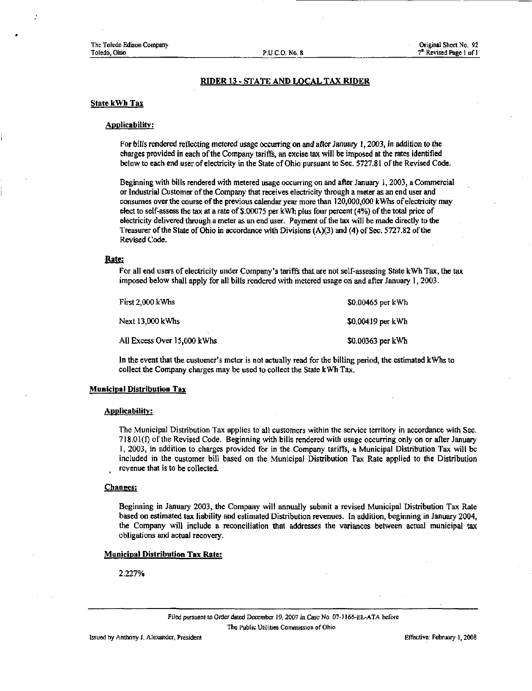## RIDER 13 - STATE AND LOCAL TAX RIDER

#### State kWh Tax

### Applicability:

For bills rendered reflecting metered usage occurring on and after January 1, 2003, in addition to the charges provided in each of the Company tariffe, an excise tax will be imposed at the rates identified below to each end user of electricity in the State of Ohio pursuant to Sec. 5727.81 of the Revised Code.

Beginning with bills rendered with metered usage occurring on and after January 1,2003, a Commercial or Industrial Customer of the Company that receives electricity through a meter as an end user and consumes over the course of the previous calendar year more than 120,000,000 kWhs of electricity may elect to self-assess the tax at a rate of \$.00075 per kWh plus four percent (4%) of the total price of electricity delivered through a meter as an end user. Payment of the tax will be made directly to the Treasurer of the State of Ohio in accordance with Divisions (A)(3) and (4) of Sec. 5727.82 of the Revised Code.

### Rate:

For all end users of electricity under Company's tariffs that are not self-assessing State kWh Tax, the tax imposed below shall apply for all bills rendered with metered usage on and after January 1, 2003.

| First 2,000 kWhs            | \$0,00465 per kWh |
|-----------------------------|-------------------|
| Next 13,000 kWhs            | \$0,00419 per kWh |
| All Excess Over 15,000 kWhs | \$0.00363 per kWh |

In the event that the customer's meter is not actually read for the billing period, the estimated kWhs to collect the Company charges may be used to collect the State kWh Tax.

#### Municipal Distribution Tax

#### Applicability:

The Municipal Distribution Tax applies to all customers within the service territory in accordance with Sec. 718.01(f) of the Revised Code. Beginning with bills rendered with usage occurring only on or after January 1, 2003, in addition to charges provided for in the Company tariffs, a Municipal Distribution Tax will be included in the customer bill based on the Municipal Distribution Tax Rate applied to the Distribution revenue that is to be collected.

#### Changes:

Beginning in January 2003, the Company will annually submit a revised Municipal Distribution Tax Rate based on estimated tax liability and estimated Distribution revenues. In addition, beginning in January 2004, the Company will include a reconciliation that addresses the variances between actual municipal tax obligations and actual recovery.

#### Municipal Distribution Tax Rate:

2.227%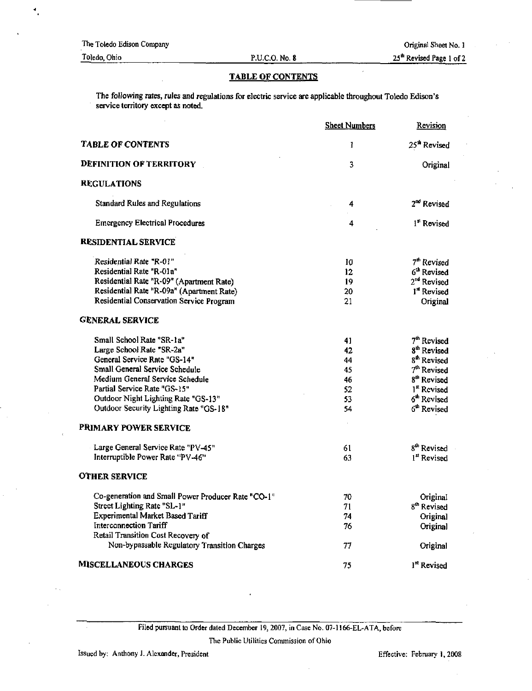## 25\* Revised Page 1 of 2

# TABLE OF CONTENTS

The following rates, rules and regulations for electric service are applicable throughout Toledo Edison's service territory except as noted.

|                                                     | <b>Sheet Numbers</b> | Revision                 |
|-----------------------------------------------------|----------------------|--------------------------|
| <b>TABLE OF CONTENTS</b>                            | 1                    | 25 <sup>th</sup> Revised |
| <b>DEFINITION OF TERRITORY</b>                      | 3                    | Original                 |
| <b>REGULATIONS</b>                                  |                      |                          |
| Standard Rules and Regulations                      | 4                    | 2 <sup>nd</sup> Revised  |
| <b>Emergency Electrical Procedures</b>              | 4                    | <sup>1st</sup> Revised   |
| <b>RESIDENTIAL SERVICE</b>                          |                      |                          |
| Residential Rate "R-01"<br>Residential Rate "R-01a" | 10                   | 7 <sup>th</sup> Revised  |
|                                                     | 12                   | 6 <sup>th</sup> Revised  |
| Residential Rate "R-09" (Apartment Rate)            | 19                   | 2 <sup>nd</sup> Revised  |
| Residential Rate "R-09a" (Apartment Rate)           | 20                   | 1 <sup>st</sup> Revised  |
| Residential Conservation Service Program            | 21                   | Original                 |
| <b>GENERAL SERVICE</b>                              |                      |                          |
| Small School Rate "SR-1a"                           | 41                   | 7 <sup>th</sup> Revised  |
| Large School Rate "SR-2a"                           | 42                   | 8 <sup>th</sup> Revised  |
| General Service Rate "GS-14"                        | 44                   | 8 <sup>th</sup> Revised  |
| Small General Service Schedule                      | 45                   | 7 <sup>th</sup> Revised  |
| Medium General Service Schedule                     | 46                   | 8 <sup>th</sup> Revised  |
| Partial Service Rate "GS-15"                        | 52                   | 1st Revised              |
| Outdoor Night Lighting Rate "GS-13"                 | 53                   | 6 <sup>th</sup> Revised  |
| Outdoor Security Lighting Rate "GS-18"              | 54                   | 6 <sup>th</sup> Revised  |
| <b>PRIMARY POWER SERVICE</b>                        |                      |                          |
| Large General Service Rate "PV-45"                  | 61                   | 8 <sup>th</sup> Revised  |
| Interruptible Power Rate "PV-46"                    | 63                   | 1 <sup>st</sup> Revised  |
|                                                     |                      |                          |
| <b>OTHER SERVICE</b>                                |                      |                          |
| Co-generation and Small Power Producer Rate "CO-1"  | 70                   | Original                 |
| Street Lighting Rate "SL-1"                         | 71                   | 8 <sup>th</sup> Revised  |
| Experimental Market Based Tariff                    | 74                   | Original                 |
| Interconnection Tariff                              | 76                   | Original                 |
| Retail Transition Cost Recovery of                  |                      |                          |
| Non-bypassable Regulatory Transition Charges        | 77                   | Original                 |
| <b>MISCELLANEOUS CHARGES</b>                        | 75                   | 1 <sup>st</sup> Revised  |